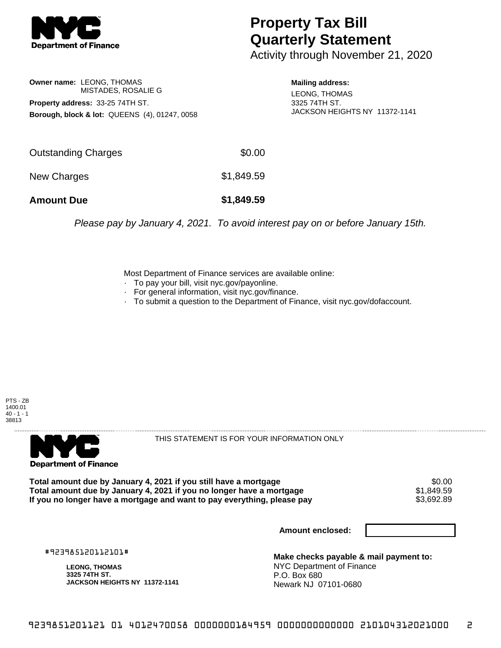

## **Property Tax Bill Quarterly Statement**

Activity through November 21, 2020

**Owner name:** LEONG, THOMAS MISTADES, ROSALIE G **Property address:** 33-25 74TH ST. **Borough, block & lot:** QUEENS (4), 01247, 0058 **Mailing address:**

LEONG, THOMAS 3325 74TH ST. JACKSON HEIGHTS NY 11372-1141

| <b>Amount Due</b>   | \$1,849.59 |
|---------------------|------------|
| New Charges         | \$1,849.59 |
| Outstanding Charges | \$0.00     |

Please pay by January 4, 2021. To avoid interest pay on or before January 15th.

Most Department of Finance services are available online:

- · To pay your bill, visit nyc.gov/payonline.
- For general information, visit nyc.gov/finance.
- · To submit a question to the Department of Finance, visit nyc.gov/dofaccount.





THIS STATEMENT IS FOR YOUR INFORMATION ONLY

Total amount due by January 4, 2021 if you still have a mortgage \$0.00<br>Total amount due by January 4, 2021 if you no longer have a mortgage \$1.849.59 **Total amount due by January 4, 2021 if you no longer have a mortgage**  $$1,849.59$ **<br>If you no longer have a mortgage and want to pay everything, please pay**  $$3,692.89$ If you no longer have a mortgage and want to pay everything, please pay

**Amount enclosed:**

#923985120112101#

**LEONG, THOMAS 3325 74TH ST. JACKSON HEIGHTS NY 11372-1141**

**Make checks payable & mail payment to:** NYC Department of Finance P.O. Box 680 Newark NJ 07101-0680